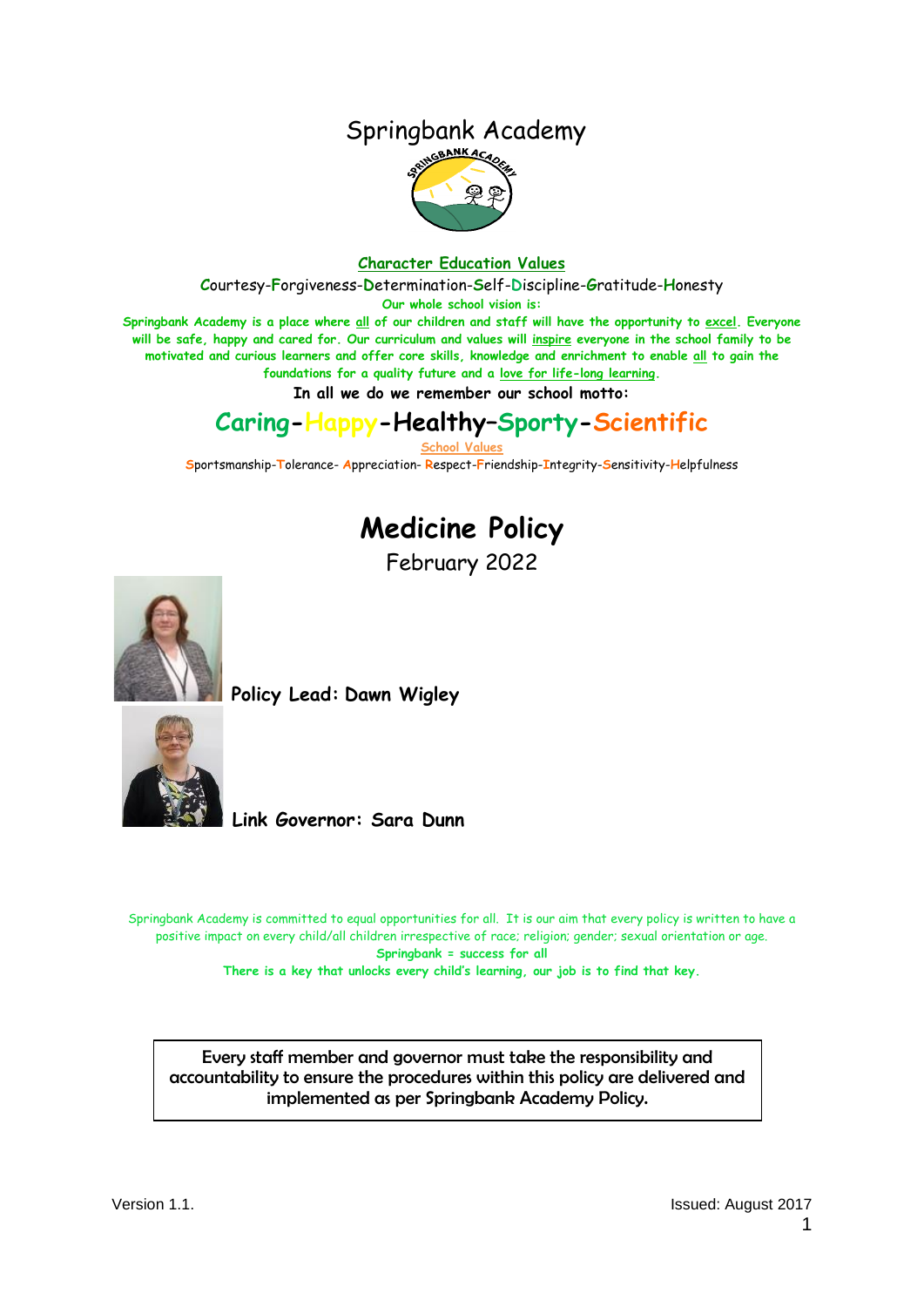### Springbank Academy



#### **Character Education Values**

**C**ourtesy-**F**orgiveness-**D**etermination-**S**elf-**D**iscipline-**G**ratitude-**H**onesty

**Our whole school vision is:**

**Springbank Academy is a place where all of our children and staff will have the opportunity to excel. Everyone will be safe, happy and cared for. Our curriculum and values will inspire everyone in the school family to be motivated and curious learners and offer core skills, knowledge and enrichment to enable all to gain the foundations for a quality future and a love for life-long learning.**

**In all we do we remember our school motto:**

### **Caring-Happy-Healthy–Sporty-Scientific**

**School Values**

**S**portsmanship-**T**olerance- **A**ppreciation- **R**espect-**F**riendship-**I**ntegrity-**S**ensitivity-**H**elpfulness

# **Medicine Policy**

February 2022



**Policy Lead: Dawn Wigley** 



**Link Governor: Sara Dunn**

Springbank Academy is committed to equal opportunities for all. It is our aim that every policy is written to have a positive impact on every child/all children irrespective of race; religion; gender; sexual orientation or age. **Springbank = success for all There is a key that unlocks every child's learning, our job is to find that key.**

Every staff member and governor must take the responsibility and accountability to ensure the procedures within this policy are delivered and implemented as per Springbank Academy Policy.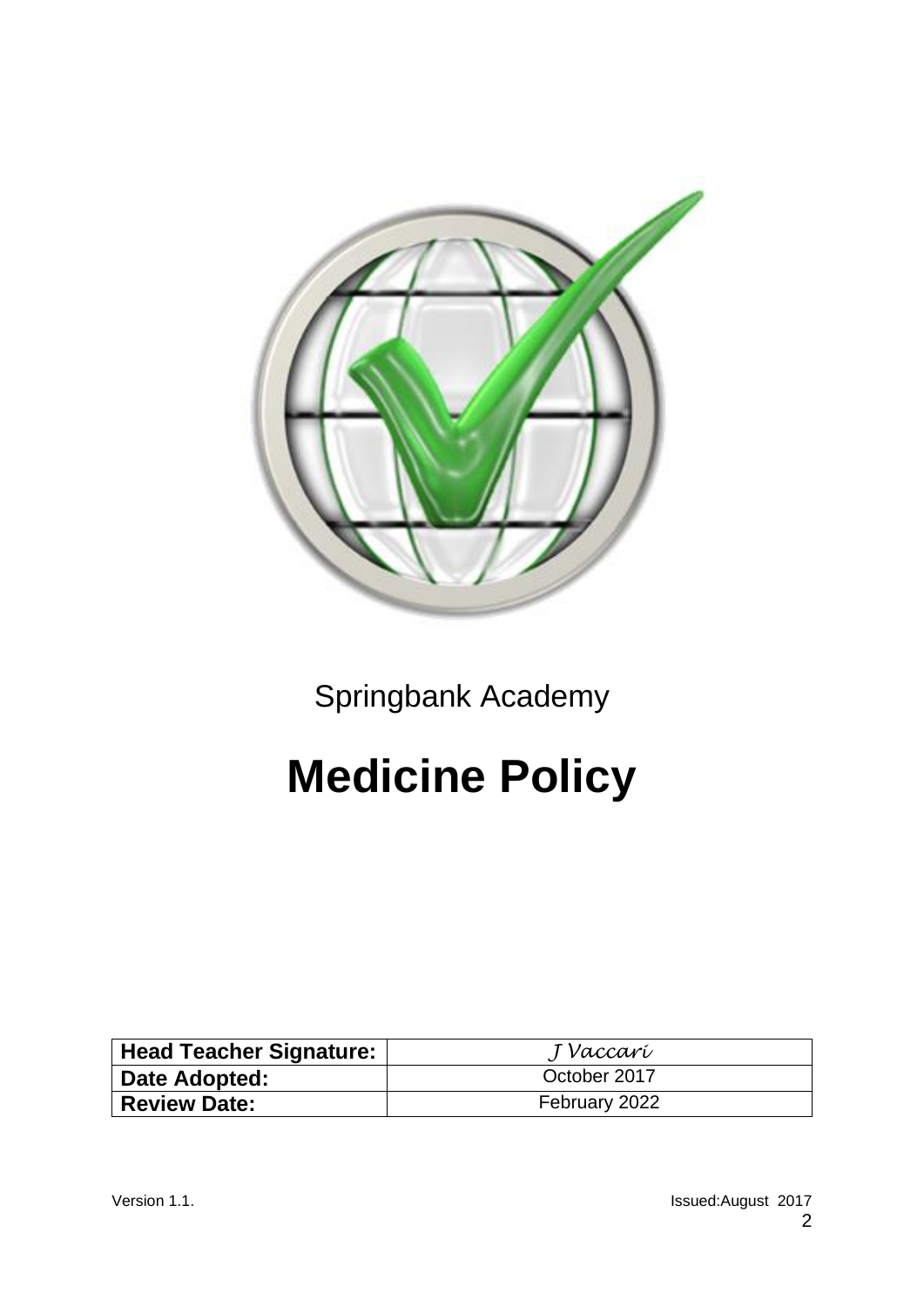

Springbank Academy

# **Medicine Policy**

| Head Teacher Signature: | J Vaccarí     |
|-------------------------|---------------|
| Date Adopted:           | October 2017  |
| <b>Review Date:</b>     | February 2022 |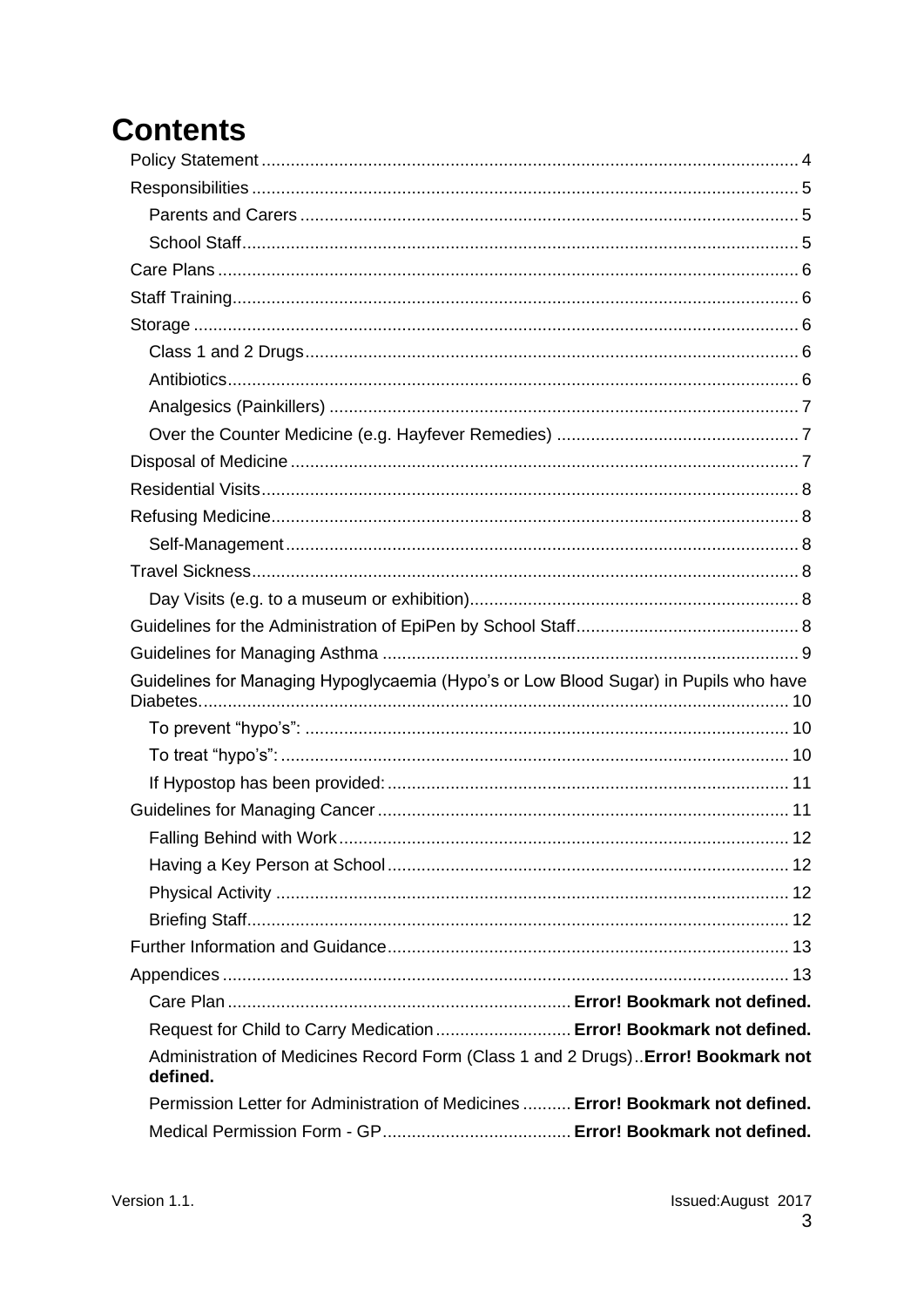# **Contents**

| Guidelines for Managing Hypoglycaemia (Hypo's or Low Blood Sugar) in Pupils who have          |    |
|-----------------------------------------------------------------------------------------------|----|
|                                                                                               |    |
|                                                                                               |    |
|                                                                                               |    |
|                                                                                               |    |
|                                                                                               | 12 |
|                                                                                               |    |
|                                                                                               |    |
|                                                                                               |    |
|                                                                                               |    |
|                                                                                               |    |
|                                                                                               |    |
| Request for Child to Carry Medication  Error! Bookmark not defined.                           |    |
| Administration of Medicines Record Form (Class 1 and 2 Drugs) Error! Bookmark not<br>defined. |    |
| Permission Letter for Administration of Medicines  Error! Bookmark not defined.               |    |
|                                                                                               |    |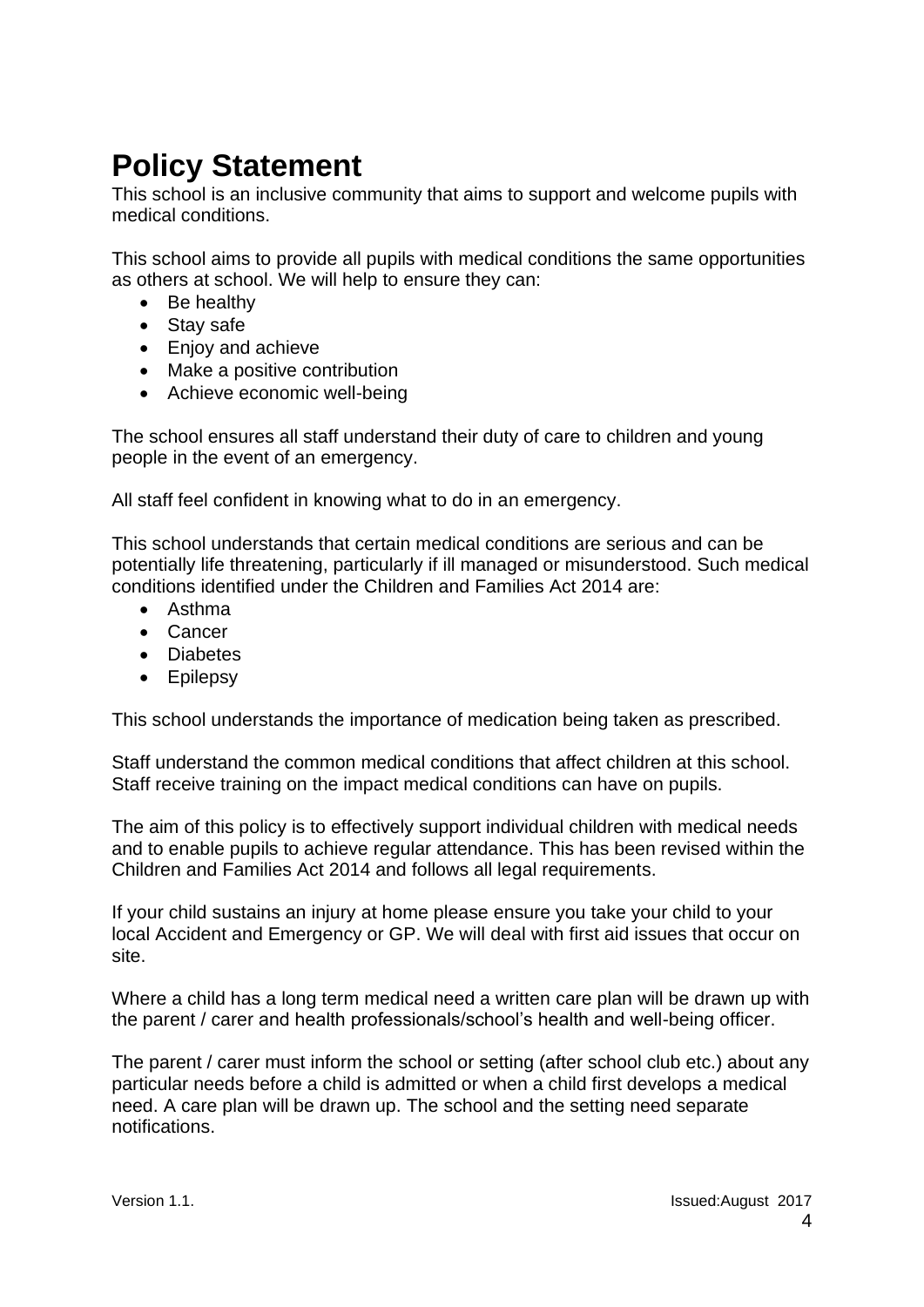### <span id="page-3-0"></span>**Policy Statement**

This school is an inclusive community that aims to support and welcome pupils with medical conditions.

This school aims to provide all pupils with medical conditions the same opportunities as others at school. We will help to ensure they can:

- Be healthy
- Stay safe
- Enjoy and achieve
- Make a positive contribution
- Achieve economic well-being

The school ensures all staff understand their duty of care to children and young people in the event of an emergency.

All staff feel confident in knowing what to do in an emergency.

This school understands that certain medical conditions are serious and can be potentially life threatening, particularly if ill managed or misunderstood. Such medical conditions identified under the Children and Families Act 2014 are:

- Asthma
- Cancer
- Diabetes
- Epilepsy

This school understands the importance of medication being taken as prescribed.

Staff understand the common medical conditions that affect children at this school. Staff receive training on the impact medical conditions can have on pupils.

The aim of this policy is to effectively support individual children with medical needs and to enable pupils to achieve regular attendance. This has been revised within the Children and Families Act 2014 and follows all legal requirements.

If your child sustains an injury at home please ensure you take your child to your local Accident and Emergency or GP. We will deal with first aid issues that occur on site.

Where a child has a long term medical need a written care plan will be drawn up with the parent / carer and health professionals/school's health and well-being officer.

The parent / carer must inform the school or setting (after school club etc.) about any particular needs before a child is admitted or when a child first develops a medical need. A care plan will be drawn up. The school and the setting need separate notifications.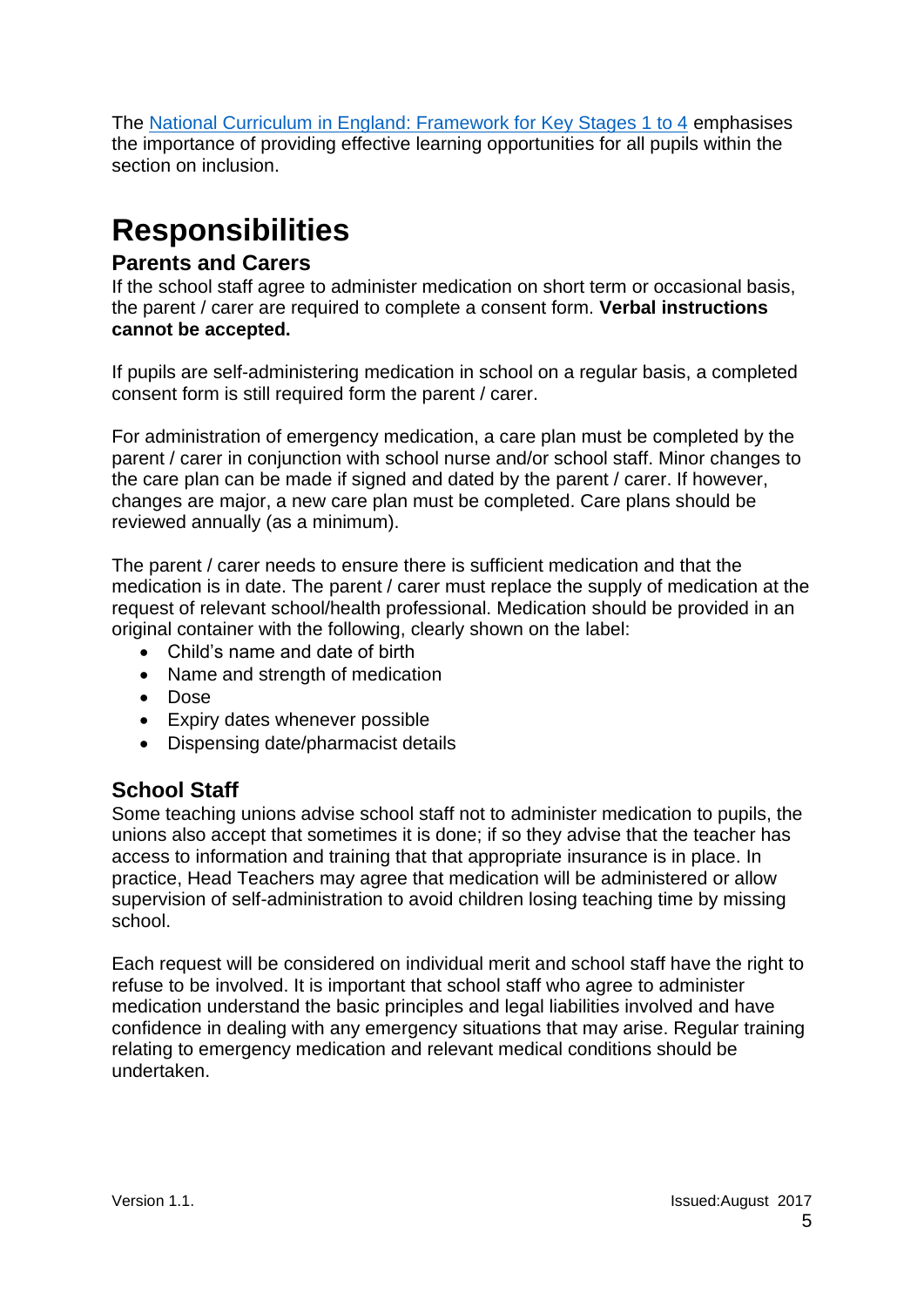The National Curriculum [in England: Framework for Key Stages 1 to 4](https://www.gov.uk/government/publications/national-curriculum-in-england-framework-for-key-stages-1-to-4/the-national-curriculum-in-england-framework-for-key-stages-1-to-4#inclusion) emphasises the importance of providing effective learning opportunities for all pupils within the section on inclusion.

# <span id="page-4-0"></span>**Responsibilities**

### <span id="page-4-1"></span>**Parents and Carers**

If the school staff agree to administer medication on short term or occasional basis, the parent / carer are required to complete a consent form. **Verbal instructions cannot be accepted.**

If pupils are self-administering medication in school on a regular basis, a completed consent form is still required form the parent / carer.

For administration of emergency medication, a care plan must be completed by the parent / carer in conjunction with school nurse and/or school staff. Minor changes to the care plan can be made if signed and dated by the parent / carer. If however, changes are major, a new care plan must be completed. Care plans should be reviewed annually (as a minimum).

The parent / carer needs to ensure there is sufficient medication and that the medication is in date. The parent / carer must replace the supply of medication at the request of relevant school/health professional. Medication should be provided in an original container with the following, clearly shown on the label:

- Child's name and date of birth
- Name and strength of medication
- Dose
- Expiry dates whenever possible
- Dispensing date/pharmacist details

### <span id="page-4-2"></span>**School Staff**

Some teaching unions advise school staff not to administer medication to pupils, the unions also accept that sometimes it is done; if so they advise that the teacher has access to information and training that that appropriate insurance is in place. In practice, Head Teachers may agree that medication will be administered or allow supervision of self-administration to avoid children losing teaching time by missing school.

Each request will be considered on individual merit and school staff have the right to refuse to be involved. It is important that school staff who agree to administer medication understand the basic principles and legal liabilities involved and have confidence in dealing with any emergency situations that may arise. Regular training relating to emergency medication and relevant medical conditions should be undertaken.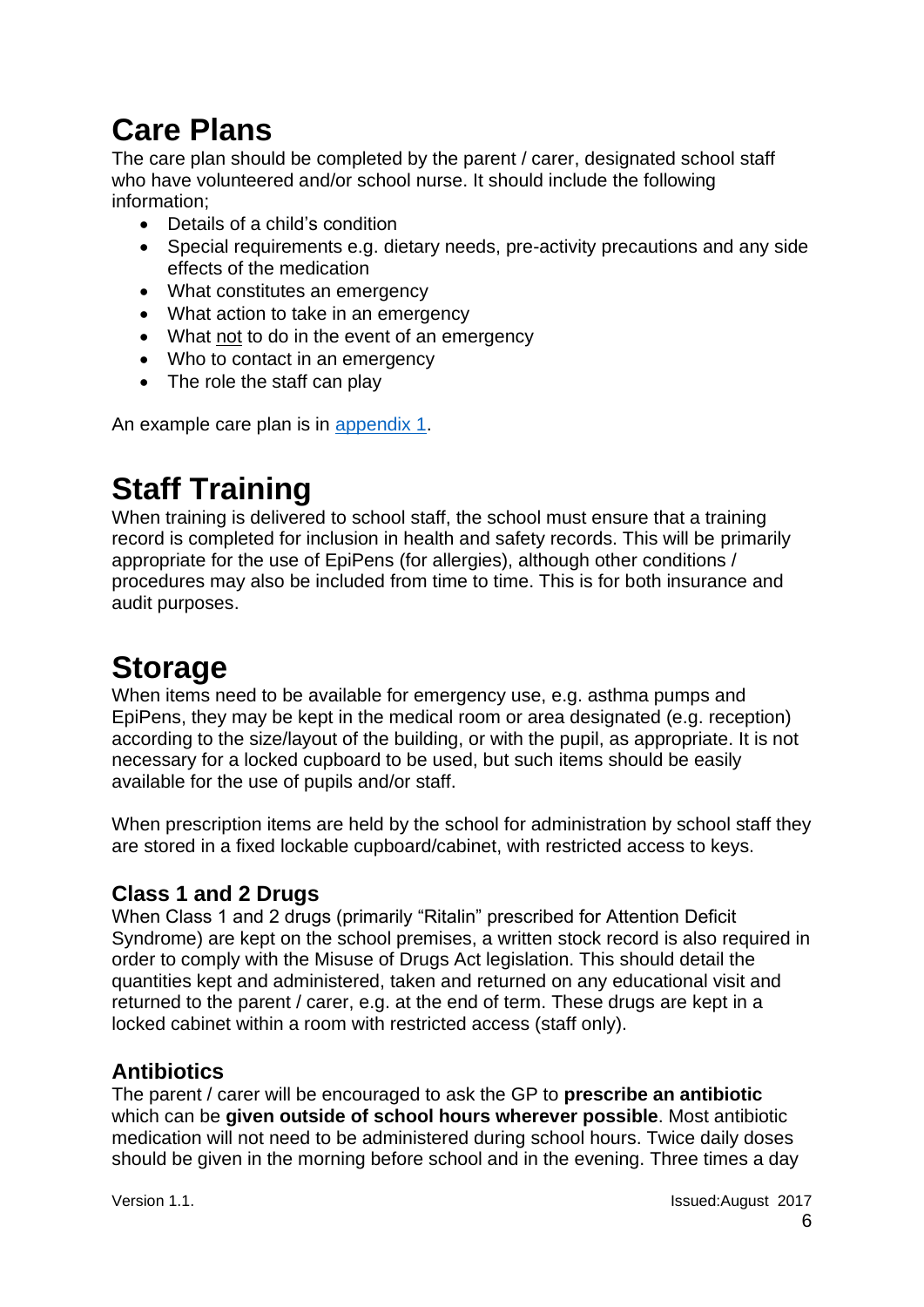# <span id="page-5-0"></span>**Care Plans**

The care plan should be completed by the parent / carer, designated school staff who have volunteered and/or school nurse. It should include the following information;

- Details of a child's condition
- Special requirements e.g. dietary needs, pre-activity precautions and any side effects of the medication
- What constitutes an emergency
- What action to take in an emergency
- What not to do in the event of an emergency
- Who to contact in an emergency
- The role the staff can play

An example care plan is in appendix 1.

### <span id="page-5-1"></span>**Staff Training**

When training is delivered to school staff, the school must ensure that a training record is completed for inclusion in health and safety records. This will be primarily appropriate for the use of EpiPens (for allergies), although other conditions / procedures may also be included from time to time. This is for both insurance and audit purposes.

## <span id="page-5-2"></span>**Storage**

When items need to be available for emergency use, e.g. asthma pumps and EpiPens, they may be kept in the medical room or area designated (e.g. reception) according to the size/layout of the building, or with the pupil, as appropriate. It is not necessary for a locked cupboard to be used, but such items should be easily available for the use of pupils and/or staff.

When prescription items are held by the school for administration by school staff they are stored in a fixed lockable cupboard/cabinet, with restricted access to keys.

### <span id="page-5-3"></span>**Class 1 and 2 Drugs**

When Class 1 and 2 drugs (primarily "Ritalin" prescribed for Attention Deficit Syndrome) are kept on the school premises, a written stock record is also required in order to comply with the Misuse of Drugs Act legislation. This should detail the quantities kept and administered, taken and returned on any educational visit and returned to the parent / carer, e.g. at the end of term. These drugs are kept in a locked cabinet within a room with restricted access (staff only).

### <span id="page-5-4"></span>**Antibiotics**

The parent / carer will be encouraged to ask the GP to **prescribe an antibiotic** which can be **given outside of school hours wherever possible**. Most antibiotic medication will not need to be administered during school hours. Twice daily doses should be given in the morning before school and in the evening. Three times a day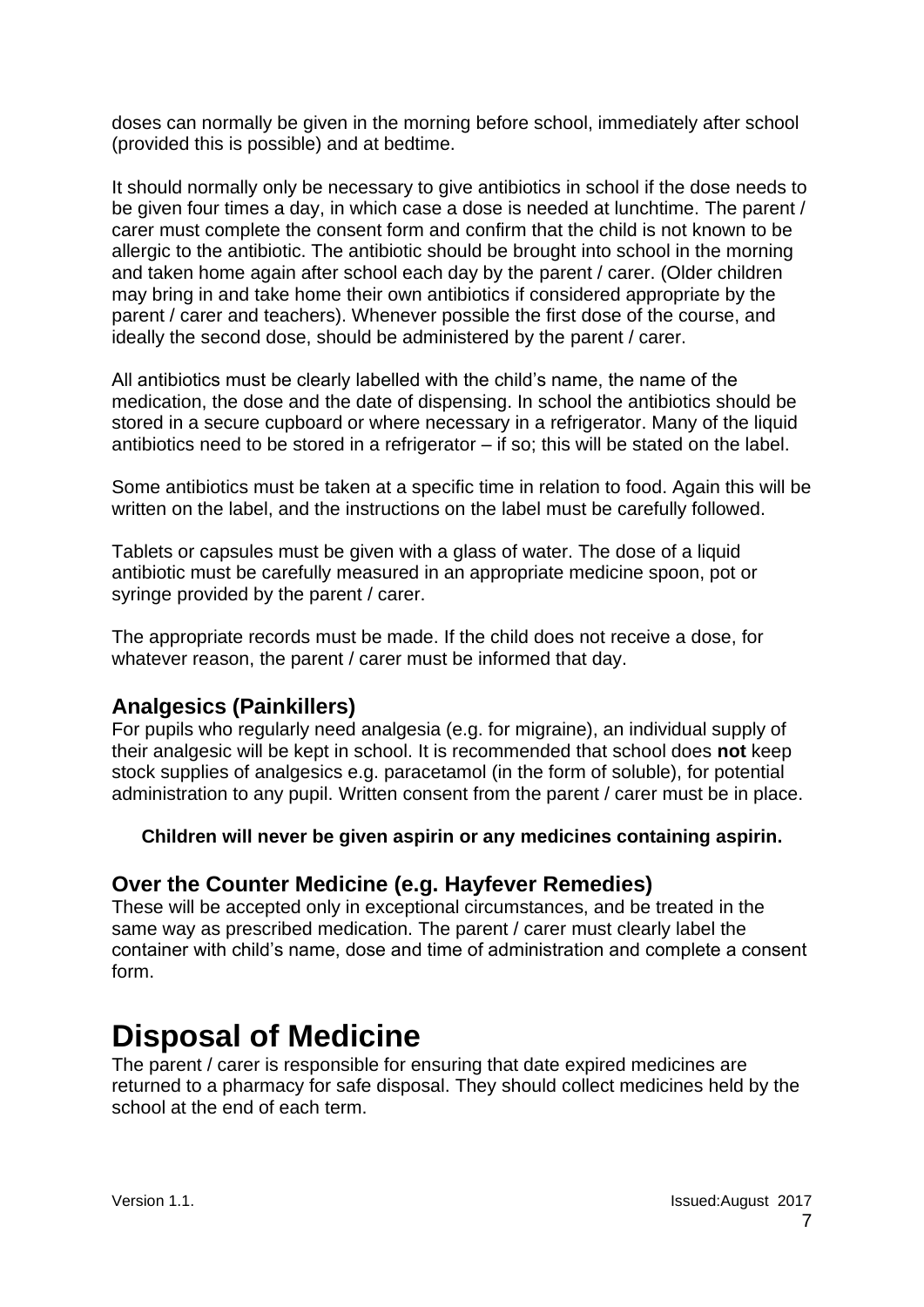doses can normally be given in the morning before school, immediately after school (provided this is possible) and at bedtime.

It should normally only be necessary to give antibiotics in school if the dose needs to be given four times a day, in which case a dose is needed at lunchtime. The parent / carer must complete the consent form and confirm that the child is not known to be allergic to the antibiotic. The antibiotic should be brought into school in the morning and taken home again after school each day by the parent / carer. (Older children may bring in and take home their own antibiotics if considered appropriate by the parent / carer and teachers). Whenever possible the first dose of the course, and ideally the second dose, should be administered by the parent / carer.

All antibiotics must be clearly labelled with the child's name, the name of the medication, the dose and the date of dispensing. In school the antibiotics should be stored in a secure cupboard or where necessary in a refrigerator. Many of the liquid antibiotics need to be stored in a refrigerator  $-$  if so; this will be stated on the label.

Some antibiotics must be taken at a specific time in relation to food. Again this will be written on the label, and the instructions on the label must be carefully followed.

Tablets or capsules must be given with a glass of water. The dose of a liquid antibiotic must be carefully measured in an appropriate medicine spoon, pot or syringe provided by the parent / carer.

The appropriate records must be made. If the child does not receive a dose, for whatever reason, the parent / carer must be informed that day.

### <span id="page-6-0"></span>**Analgesics (Painkillers)**

For pupils who regularly need analgesia (e.g. for migraine), an individual supply of their analgesic will be kept in school. It is recommended that school does **not** keep stock supplies of analgesics e.g. paracetamol (in the form of soluble), for potential administration to any pupil. Written consent from the parent / carer must be in place.

#### **Children will never be given aspirin or any medicines containing aspirin.**

### <span id="page-6-1"></span>**Over the Counter Medicine (e.g. Hayfever Remedies)**

These will be accepted only in exceptional circumstances, and be treated in the same way as prescribed medication. The parent / carer must clearly label the container with child's name, dose and time of administration and complete a consent form.

### <span id="page-6-2"></span>**Disposal of Medicine**

<span id="page-6-3"></span>The parent / carer is responsible for ensuring that date expired medicines are returned to a pharmacy for safe disposal. They should collect medicines held by the school at the end of each term.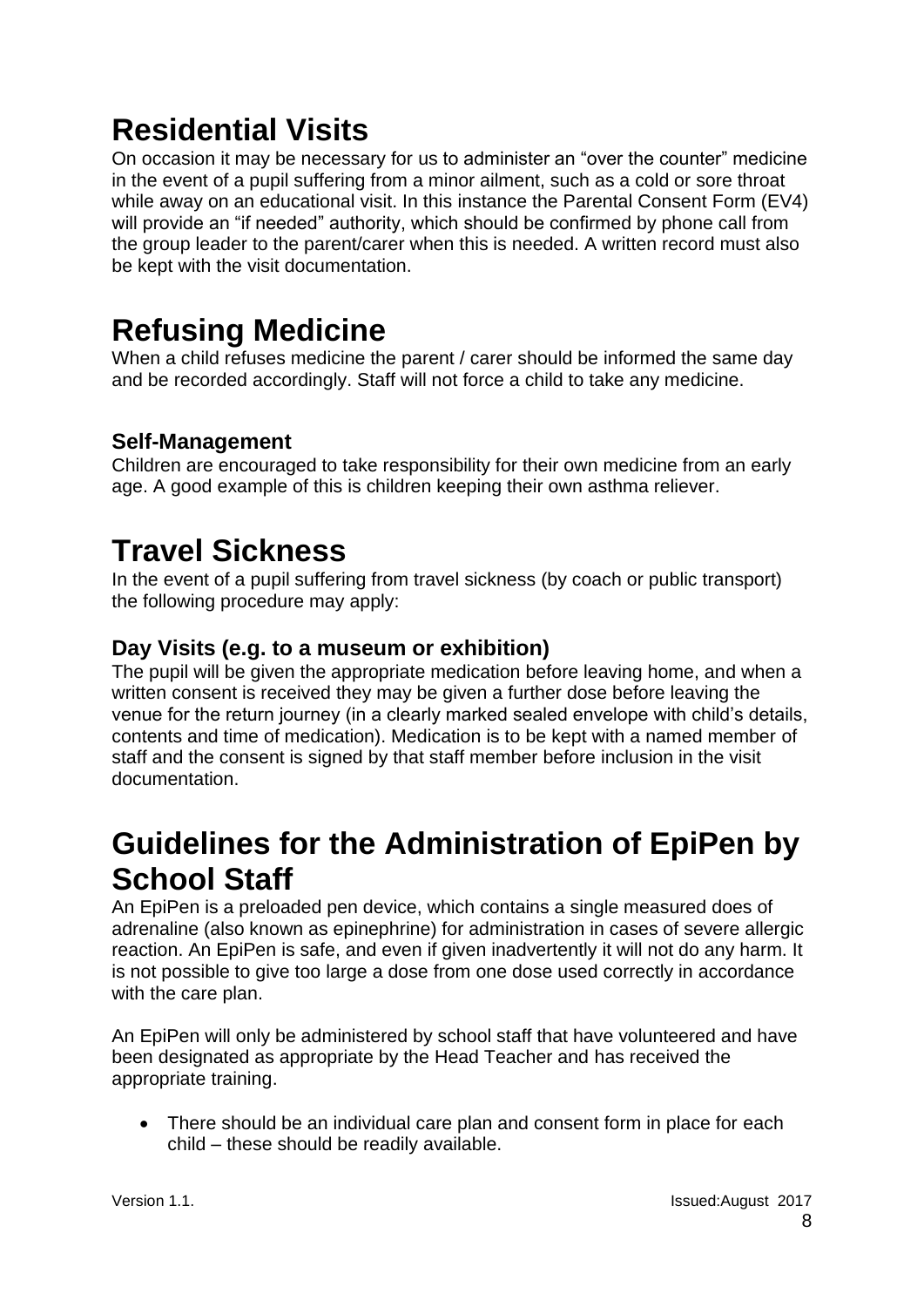# **Residential Visits**

On occasion it may be necessary for us to administer an "over the counter" medicine in the event of a pupil suffering from a minor ailment, such as a cold or sore throat while away on an educational visit. In this instance the Parental Consent Form (EV4) will provide an "if needed" authority, which should be confirmed by phone call from the group leader to the parent/carer when this is needed. A written record must also be kept with the visit documentation.

# <span id="page-7-0"></span>**Refusing Medicine**

When a child refuses medicine the parent / carer should be informed the same day and be recorded accordingly. Staff will not force a child to take any medicine.

### <span id="page-7-1"></span>**Self-Management**

Children are encouraged to take responsibility for their own medicine from an early age. A good example of this is children keeping their own asthma reliever.

## <span id="page-7-2"></span>**Travel Sickness**

In the event of a pupil suffering from travel sickness (by coach or public transport) the following procedure may apply:

### <span id="page-7-3"></span>**Day Visits (e.g. to a museum or exhibition)**

The pupil will be given the appropriate medication before leaving home, and when a written consent is received they may be given a further dose before leaving the venue for the return journey (in a clearly marked sealed envelope with child's details, contents and time of medication). Medication is to be kept with a named member of staff and the consent is signed by that staff member before inclusion in the visit documentation.

### <span id="page-7-4"></span>**Guidelines for the Administration of EpiPen by School Staff**

An EpiPen is a preloaded pen device, which contains a single measured does of adrenaline (also known as epinephrine) for administration in cases of severe allergic reaction. An EpiPen is safe, and even if given inadvertently it will not do any harm. It is not possible to give too large a dose from one dose used correctly in accordance with the care plan.

An EpiPen will only be administered by school staff that have volunteered and have been designated as appropriate by the Head Teacher and has received the appropriate training.

• There should be an individual care plan and consent form in place for each child – these should be readily available.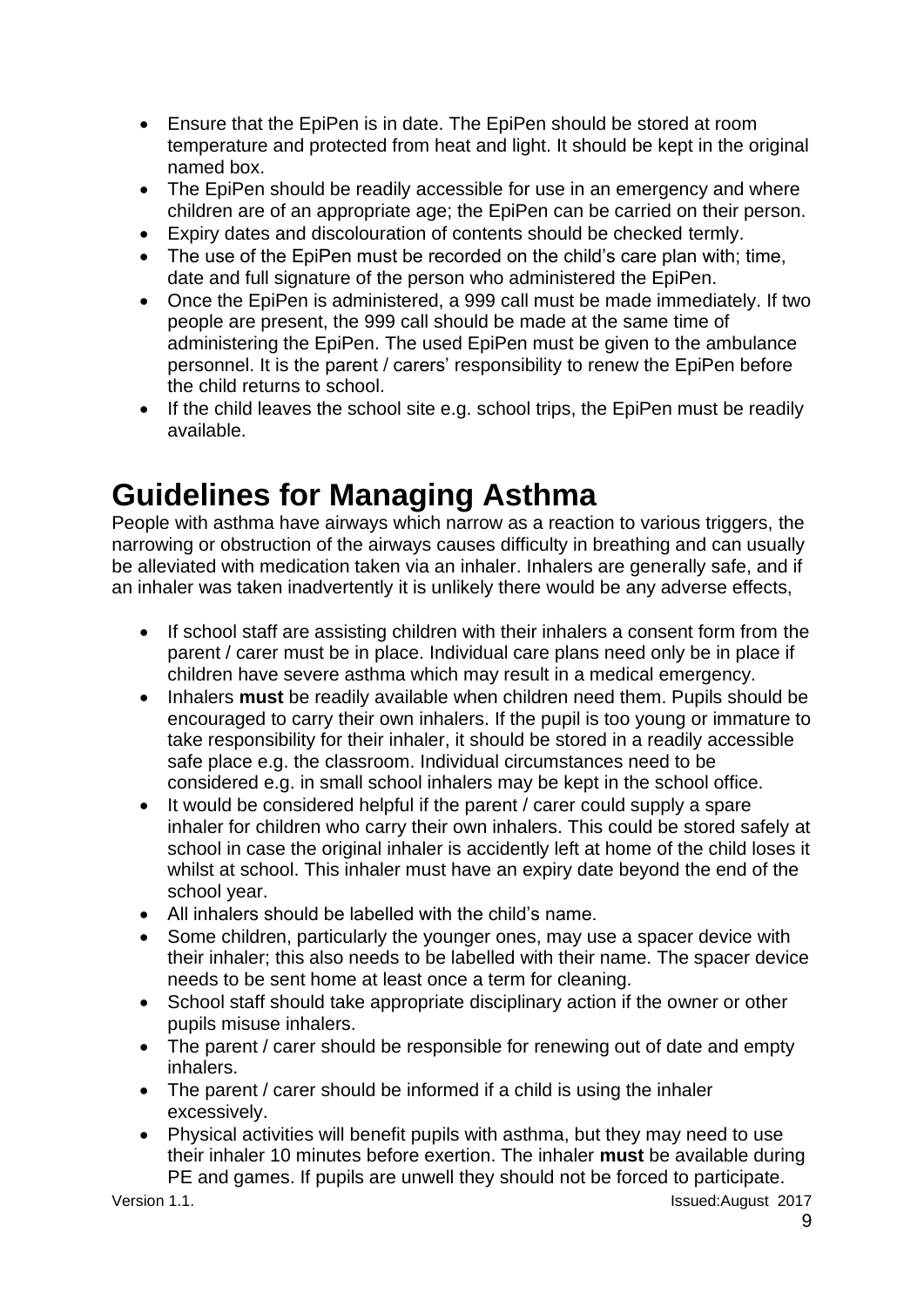- Ensure that the EpiPen is in date. The EpiPen should be stored at room temperature and protected from heat and light. It should be kept in the original named box.
- The EpiPen should be readily accessible for use in an emergency and where children are of an appropriate age; the EpiPen can be carried on their person.
- Expiry dates and discolouration of contents should be checked termly.
- The use of the EpiPen must be recorded on the child's care plan with; time, date and full signature of the person who administered the EpiPen.
- Once the EpiPen is administered, a 999 call must be made immediately. If two people are present, the 999 call should be made at the same time of administering the EpiPen. The used EpiPen must be given to the ambulance personnel. It is the parent / carers' responsibility to renew the EpiPen before the child returns to school.
- If the child leaves the school site e.g. school trips, the EpiPen must be readily available.

### <span id="page-8-0"></span>**Guidelines for Managing Asthma**

People with asthma have airways which narrow as a reaction to various triggers, the narrowing or obstruction of the airways causes difficulty in breathing and can usually be alleviated with medication taken via an inhaler. Inhalers are generally safe, and if an inhaler was taken inadvertently it is unlikely there would be any adverse effects,

- If school staff are assisting children with their inhalers a consent form from the parent / carer must be in place. Individual care plans need only be in place if children have severe asthma which may result in a medical emergency.
- Inhalers **must** be readily available when children need them. Pupils should be encouraged to carry their own inhalers. If the pupil is too young or immature to take responsibility for their inhaler, it should be stored in a readily accessible safe place e.g. the classroom. Individual circumstances need to be considered e.g. in small school inhalers may be kept in the school office.
- It would be considered helpful if the parent / carer could supply a spare inhaler for children who carry their own inhalers. This could be stored safely at school in case the original inhaler is accidently left at home of the child loses it whilst at school. This inhaler must have an expiry date beyond the end of the school year.
- All inhalers should be labelled with the child's name.
- Some children, particularly the younger ones, may use a spacer device with their inhaler; this also needs to be labelled with their name. The spacer device needs to be sent home at least once a term for cleaning.
- School staff should take appropriate disciplinary action if the owner or other pupils misuse inhalers.
- The parent / carer should be responsible for renewing out of date and empty inhalers.
- The parent / carer should be informed if a child is using the inhaler excessively.
- Physical activities will benefit pupils with asthma, but they may need to use their inhaler 10 minutes before exertion. The inhaler **must** be available during PE and games. If pupils are unwell they should not be forced to participate.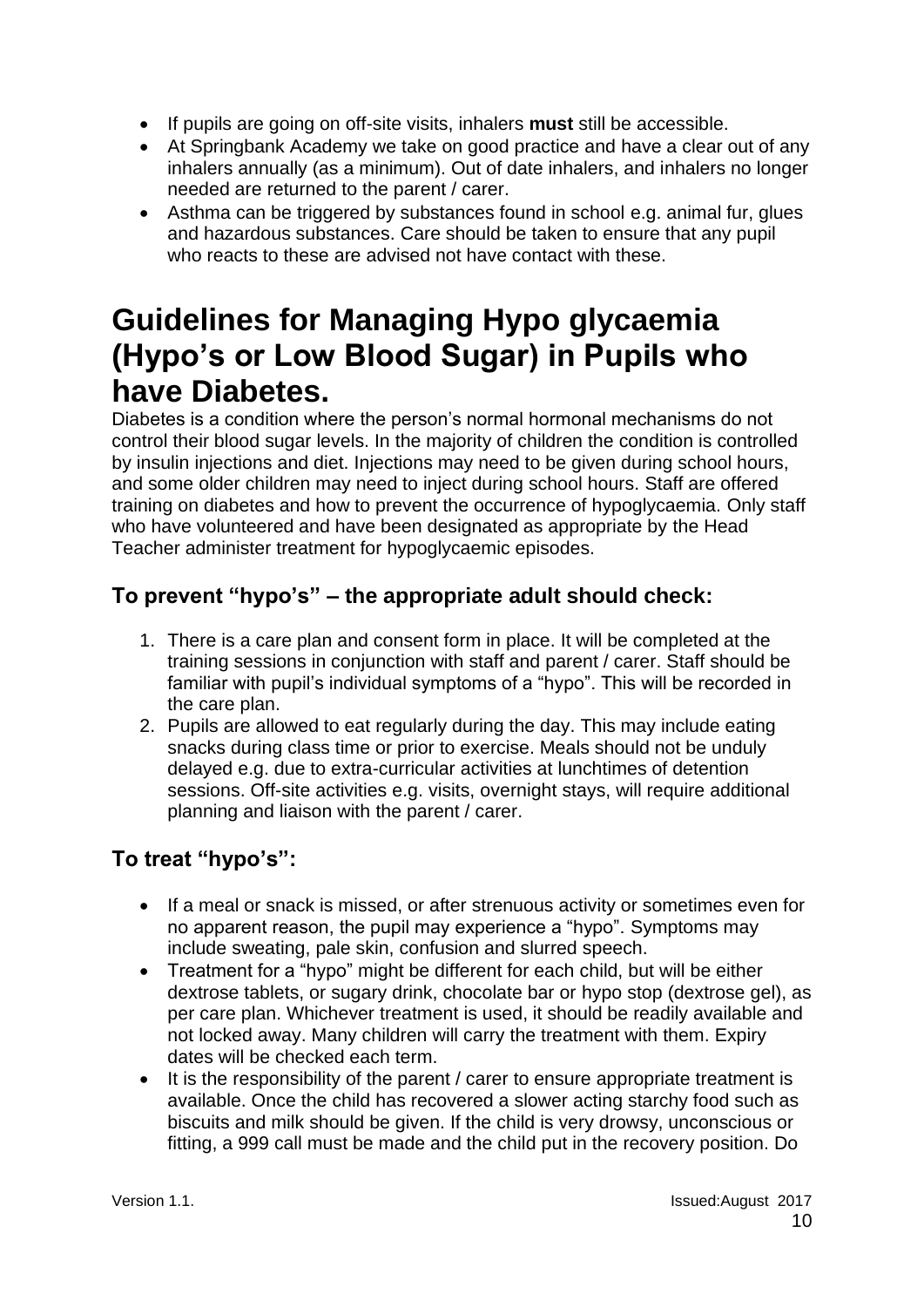- If pupils are going on off-site visits, inhalers **must** still be accessible.
- At Springbank Academy we take on good practice and have a clear out of any inhalers annually (as a minimum). Out of date inhalers, and inhalers no longer needed are returned to the parent / carer.
- Asthma can be triggered by substances found in school e.g. animal fur, glues and hazardous substances. Care should be taken to ensure that any pupil who reacts to these are advised not have contact with these.

### <span id="page-9-0"></span>**Guidelines for Managing Hypo glycaemia (Hypo's or Low Blood Sugar) in Pupils who have Diabetes.**

Diabetes is a condition where the person's normal hormonal mechanisms do not control their blood sugar levels. In the majority of children the condition is controlled by insulin injections and diet. Injections may need to be given during school hours, and some older children may need to inject during school hours. Staff are offered training on diabetes and how to prevent the occurrence of hypoglycaemia. Only staff who have volunteered and have been designated as appropriate by the Head Teacher administer treatment for hypoglycaemic episodes.

### <span id="page-9-1"></span>**To prevent "hypo's" – the appropriate adult should check:**

- 1. There is a care plan and consent form in place. It will be completed at the training sessions in conjunction with staff and parent / carer. Staff should be familiar with pupil's individual symptoms of a "hypo". This will be recorded in the care plan.
- 2. Pupils are allowed to eat regularly during the day. This may include eating snacks during class time or prior to exercise. Meals should not be unduly delayed e.g. due to extra-curricular activities at lunchtimes of detention sessions. Off-site activities e.g. visits, overnight stays, will require additional planning and liaison with the parent / carer.

### <span id="page-9-2"></span>**To treat "hypo's":**

- If a meal or snack is missed, or after strenuous activity or sometimes even for no apparent reason, the pupil may experience a "hypo". Symptoms may include sweating, pale skin, confusion and slurred speech.
- Treatment for a "hypo" might be different for each child, but will be either dextrose tablets, or sugary drink, chocolate bar or hypo stop (dextrose gel), as per care plan. Whichever treatment is used, it should be readily available and not locked away. Many children will carry the treatment with them. Expiry dates will be checked each term.
- It is the responsibility of the parent / carer to ensure appropriate treatment is available. Once the child has recovered a slower acting starchy food such as biscuits and milk should be given. If the child is very drowsy, unconscious or fitting, a 999 call must be made and the child put in the recovery position. Do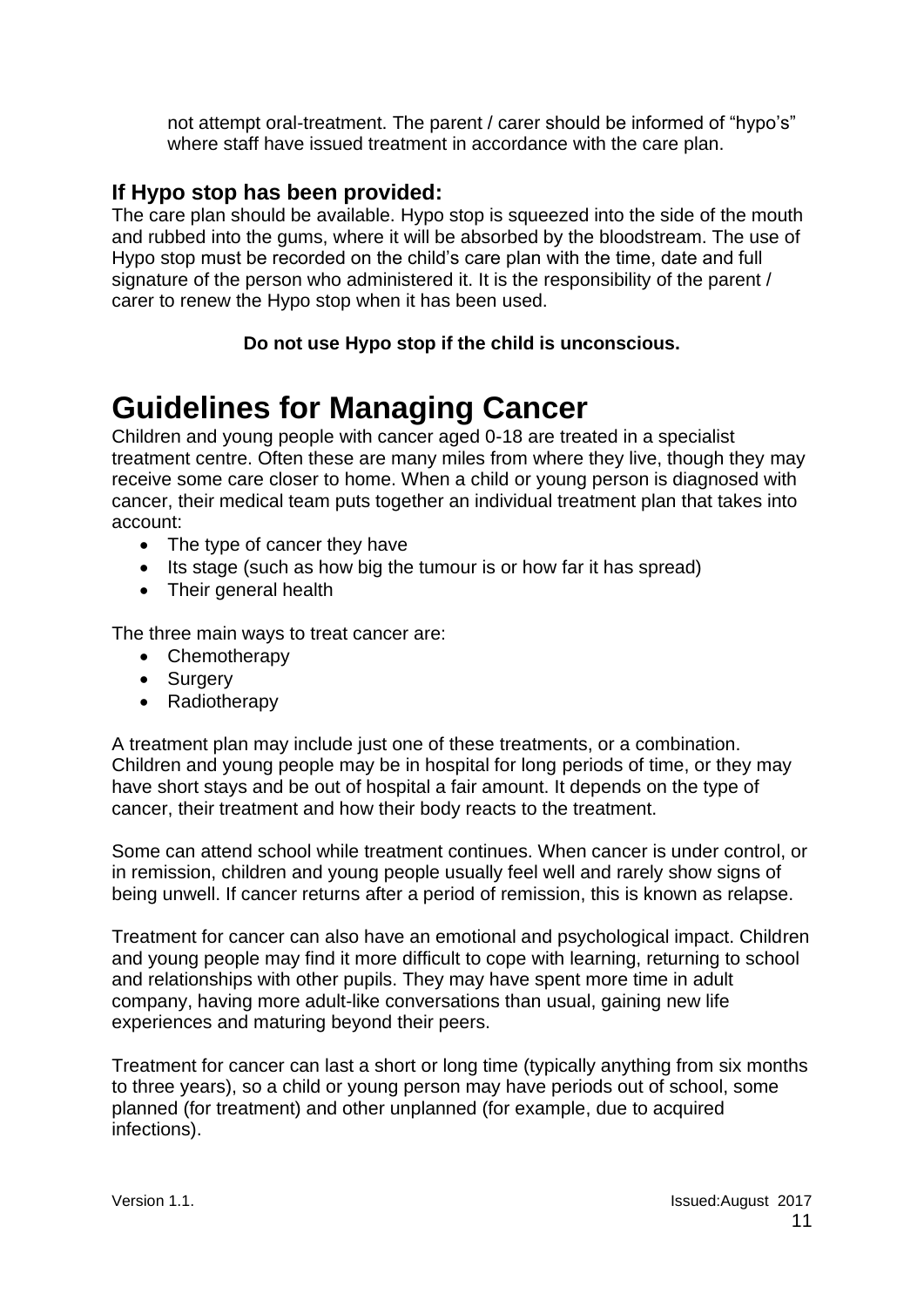not attempt oral-treatment. The parent / carer should be informed of "hypo's" where staff have issued treatment in accordance with the care plan.

### <span id="page-10-0"></span>**If Hypo stop has been provided:**

The care plan should be available. Hypo stop is squeezed into the side of the mouth and rubbed into the gums, where it will be absorbed by the bloodstream. The use of Hypo stop must be recorded on the child's care plan with the time, date and full signature of the person who administered it. It is the responsibility of the parent / carer to renew the Hypo stop when it has been used.

### **Do not use Hypo stop if the child is unconscious.**

### <span id="page-10-1"></span>**Guidelines for Managing Cancer**

Children and young people with cancer aged 0-18 are treated in a specialist treatment centre. Often these are many miles from where they live, though they may receive some care closer to home. When a child or young person is diagnosed with cancer, their medical team puts together an individual treatment plan that takes into account:

- The type of cancer they have
- Its stage (such as how big the tumour is or how far it has spread)
- Their general health

The three main ways to treat cancer are:

- Chemotherapy
- Surgery
- Radiotherapy

A treatment plan may include just one of these treatments, or a combination. Children and young people may be in hospital for long periods of time, or they may have short stays and be out of hospital a fair amount. It depends on the type of cancer, their treatment and how their body reacts to the treatment.

Some can attend school while treatment continues. When cancer is under control, or in remission, children and young people usually feel well and rarely show signs of being unwell. If cancer returns after a period of remission, this is known as relapse.

Treatment for cancer can also have an emotional and psychological impact. Children and young people may find it more difficult to cope with learning, returning to school and relationships with other pupils. They may have spent more time in adult company, having more adult-like conversations than usual, gaining new life experiences and maturing beyond their peers.

Treatment for cancer can last a short or long time (typically anything from six months to three years), so a child or young person may have periods out of school, some planned (for treatment) and other unplanned (for example, due to acquired infections).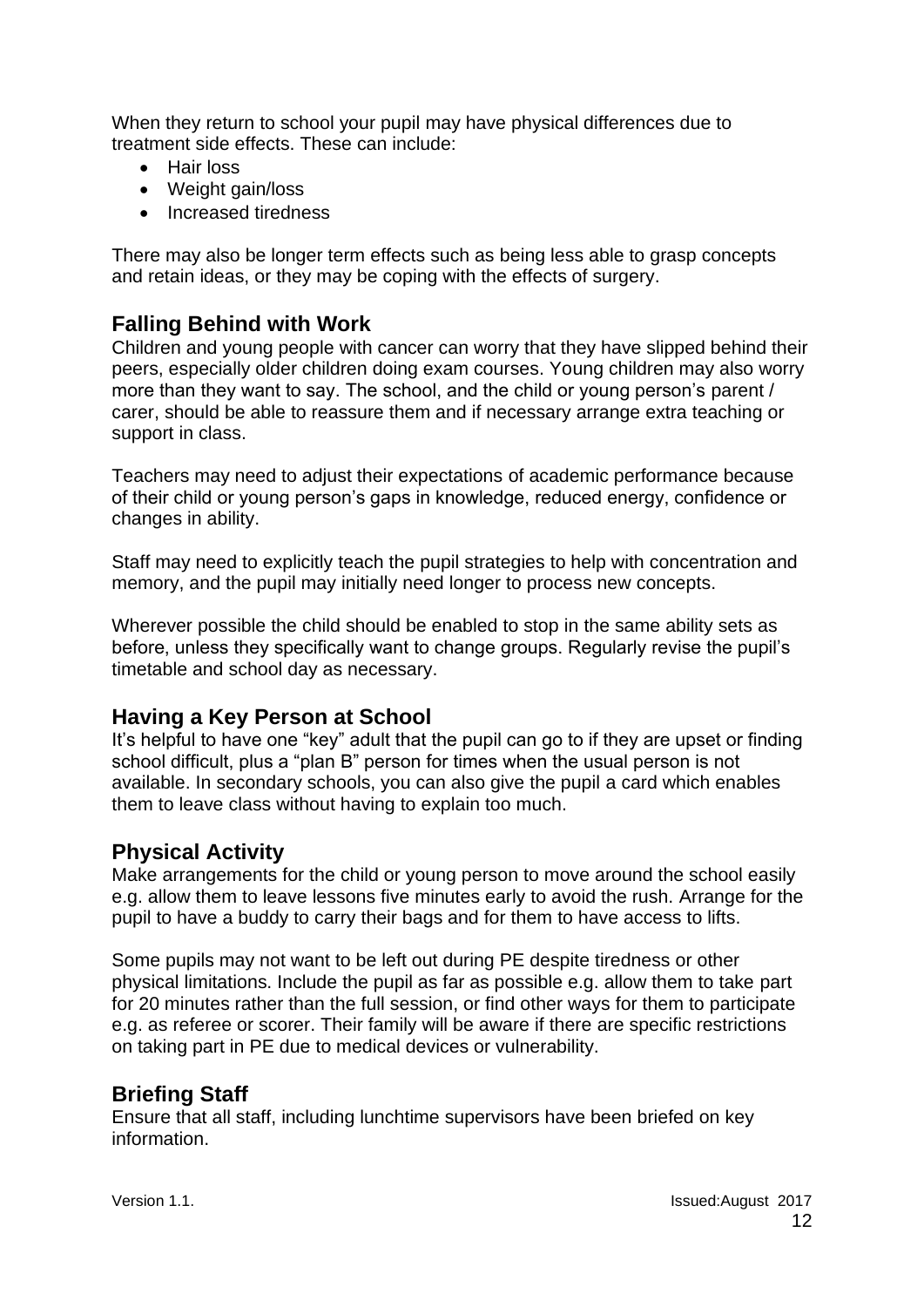When they return to school your pupil may have physical differences due to treatment side effects. These can include:

- Hair loss
- Weight gain/loss
- Increased tiredness

There may also be longer term effects such as being less able to grasp concepts and retain ideas, or they may be coping with the effects of surgery.

### <span id="page-11-0"></span>**Falling Behind with Work**

Children and young people with cancer can worry that they have slipped behind their peers, especially older children doing exam courses. Young children may also worry more than they want to say. The school, and the child or young person's parent / carer, should be able to reassure them and if necessary arrange extra teaching or support in class.

Teachers may need to adjust their expectations of academic performance because of their child or young person's gaps in knowledge, reduced energy, confidence or changes in ability.

Staff may need to explicitly teach the pupil strategies to help with concentration and memory, and the pupil may initially need longer to process new concepts.

Wherever possible the child should be enabled to stop in the same ability sets as before, unless they specifically want to change groups. Regularly revise the pupil's timetable and school day as necessary.

### <span id="page-11-1"></span>**Having a Key Person at School**

It's helpful to have one "key" adult that the pupil can go to if they are upset or finding school difficult, plus a "plan B" person for times when the usual person is not available. In secondary schools, you can also give the pupil a card which enables them to leave class without having to explain too much.

### <span id="page-11-2"></span>**Physical Activity**

Make arrangements for the child or young person to move around the school easily e.g. allow them to leave lessons five minutes early to avoid the rush. Arrange for the pupil to have a buddy to carry their bags and for them to have access to lifts.

Some pupils may not want to be left out during PE despite tiredness or other physical limitations. Include the pupil as far as possible e.g. allow them to take part for 20 minutes rather than the full session, or find other ways for them to participate e.g. as referee or scorer. Their family will be aware if there are specific restrictions on taking part in PE due to medical devices or vulnerability.

### <span id="page-11-3"></span>**Briefing Staff**

Ensure that all staff, including lunchtime supervisors have been briefed on key information.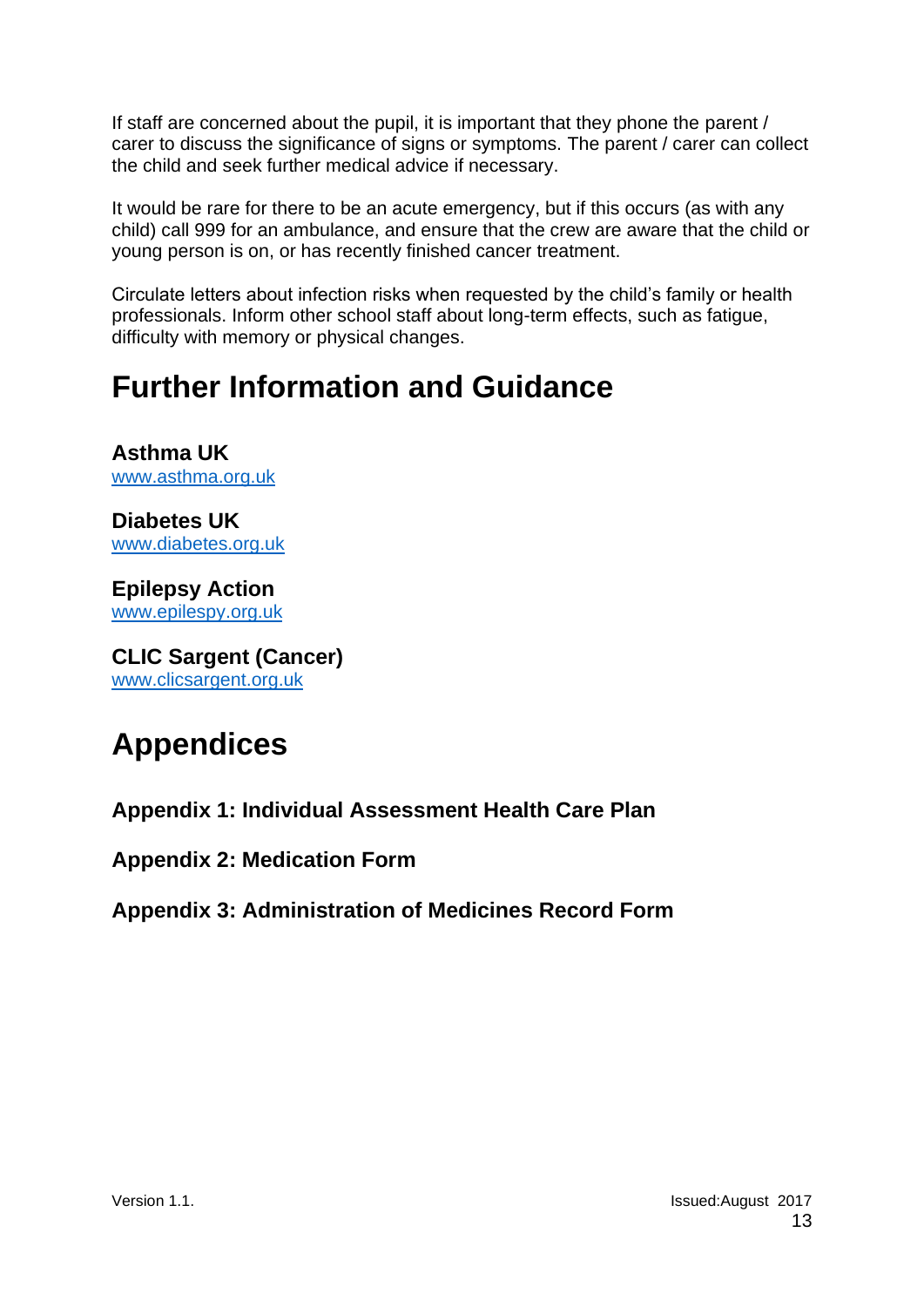If staff are concerned about the pupil, it is important that they phone the parent / carer to discuss the significance of signs or symptoms. The parent / carer can collect the child and seek further medical advice if necessary.

It would be rare for there to be an acute emergency, but if this occurs (as with any child) call 999 for an ambulance, and ensure that the crew are aware that the child or young person is on, or has recently finished cancer treatment.

Circulate letters about infection risks when requested by the child's family or health professionals. Inform other school staff about long-term effects, such as fatigue, difficulty with memory or physical changes.

### <span id="page-12-0"></span>**Further Information and Guidance**

**Asthma UK** [www.asthma.org.uk](http://www.asthma.org.uk/)

**Diabetes UK** [www.diabetes.org.uk](http://www.diabetes.org.uk/)

**Epilepsy Action** [www.epilespy.org.uk](http://www.epilespy.org.uk/)

**CLIC Sargent (Cancer)** [www.clicsargent.org.uk](http://www.clicsargent.org.uk/)

# <span id="page-12-1"></span>**Appendices**

**Appendix 1: Individual Assessment Health Care Plan**

**Appendix 2: Medication Form**

**Appendix 3: Administration of Medicines Record Form**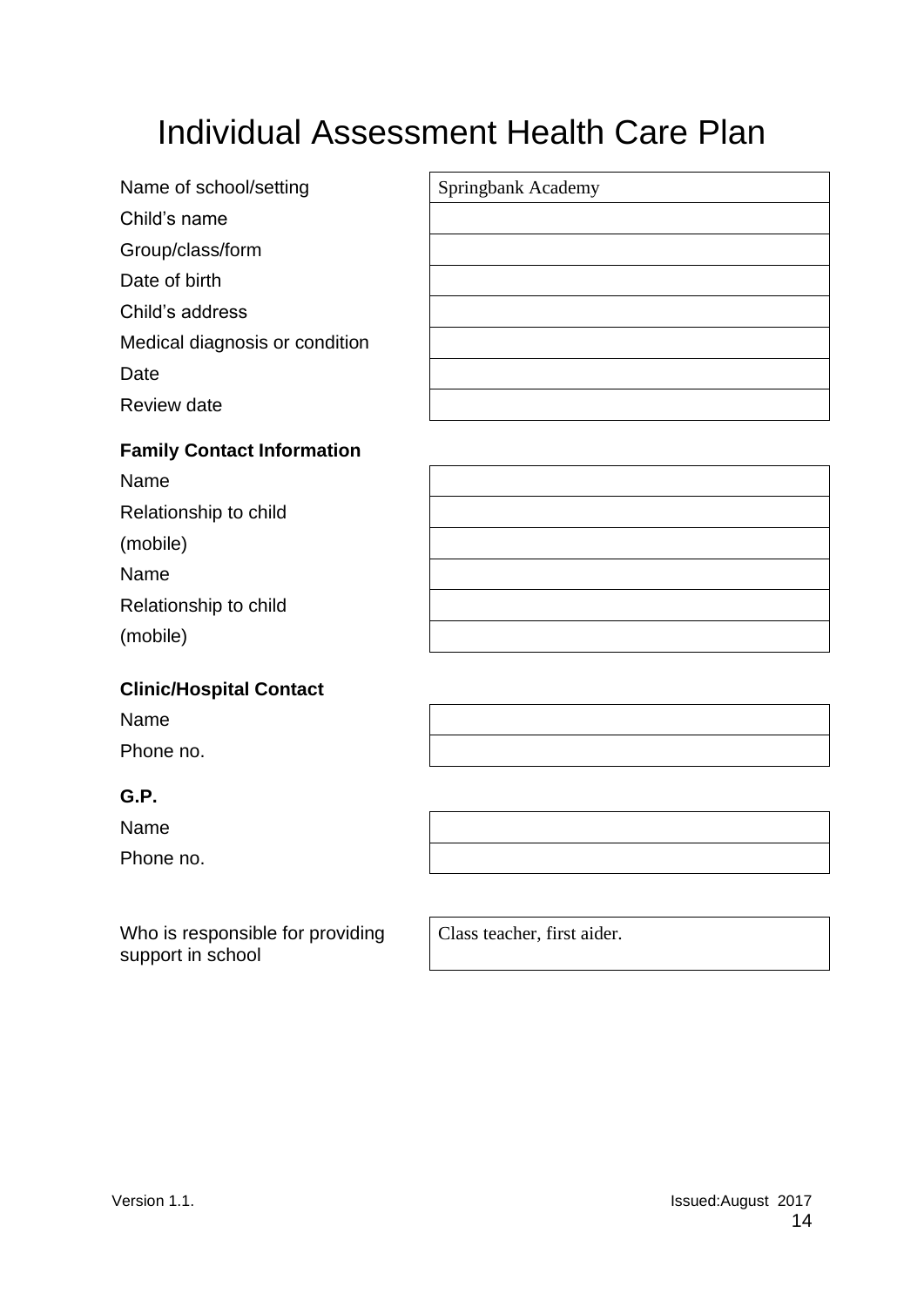# Individual Assessment Health Care Plan

| Name of school/setting         | Springbank Academy |
|--------------------------------|--------------------|
| Child's name                   |                    |
| Group/class/form               |                    |
| Date of birth                  |                    |
| Child's address                |                    |
| Medical diagnosis or condition |                    |
| Date                           |                    |
| Review date                    |                    |
|                                |                    |

#### **Family Contact Information**

| Name                  |  |
|-----------------------|--|
| Relationship to child |  |
| (mobile)              |  |
| Name                  |  |
| Relationship to child |  |
| (mobile)              |  |
|                       |  |

#### **Clinic/Hospital Contact**

| Name      |  |
|-----------|--|
| Phone no. |  |

### **G.P.**

Name

Phone no.

Who is responsible for providing support in school

Class teacher, first aider.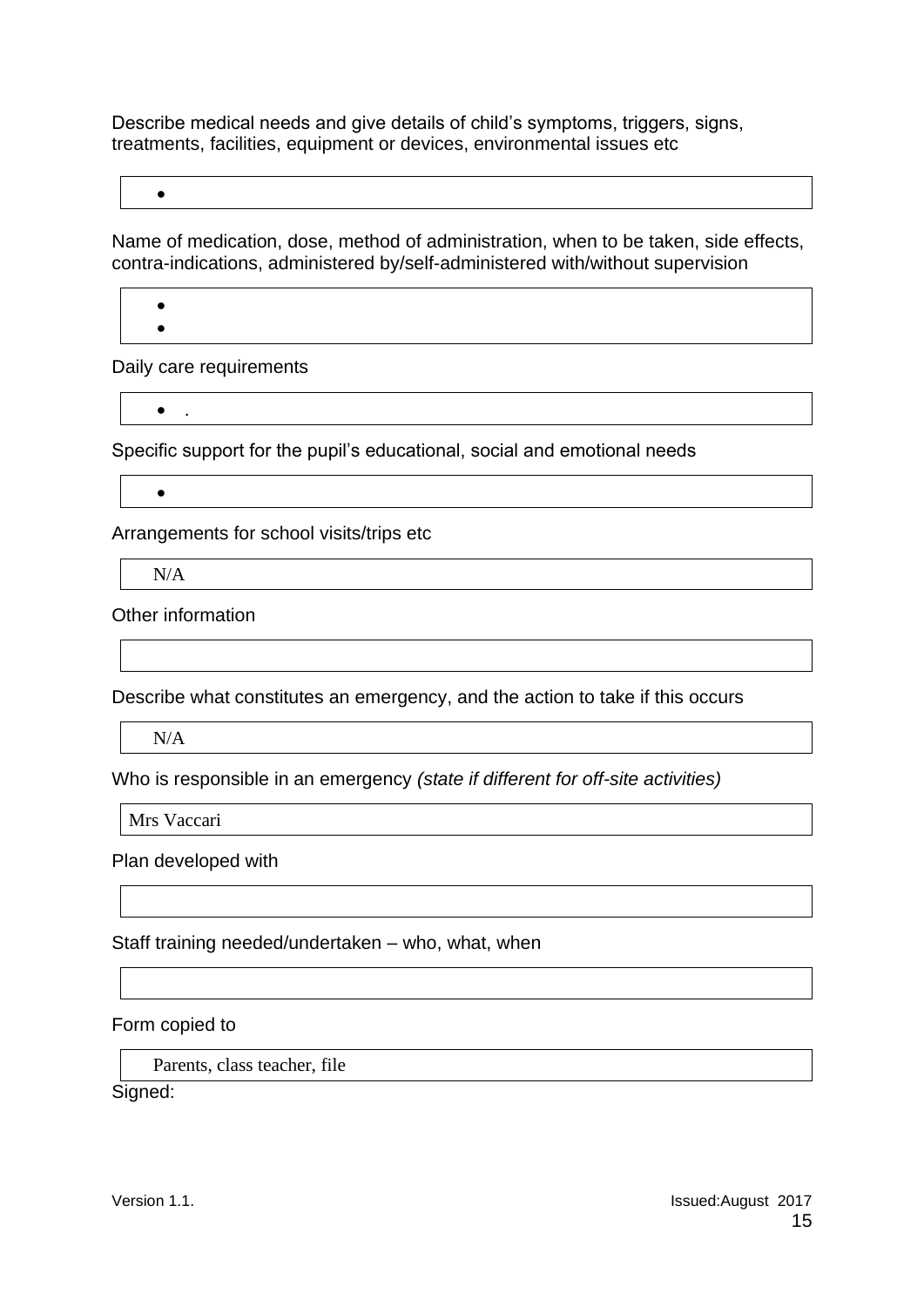Describe medical needs and give details of child's symptoms, triggers, signs, treatments, facilities, equipment or devices, environmental issues etc

Name of medication, dose, method of administration, when to be taken, side effects, contra-indications, administered by/self-administered with/without supervision

Daily care requirements

• .

•

• •

Specific support for the pupil's educational, social and emotional needs

•

Arrangements for school visits/trips etc

N/A

Other information

Describe what constitutes an emergency, and the action to take if this occurs

N/A

Who is responsible in an emergency *(state if different for off-site activities)*

Mrs Vaccari

Plan developed with

Staff training needed/undertaken – who, what, when

Form copied to

Parents, class teacher, file

Signed: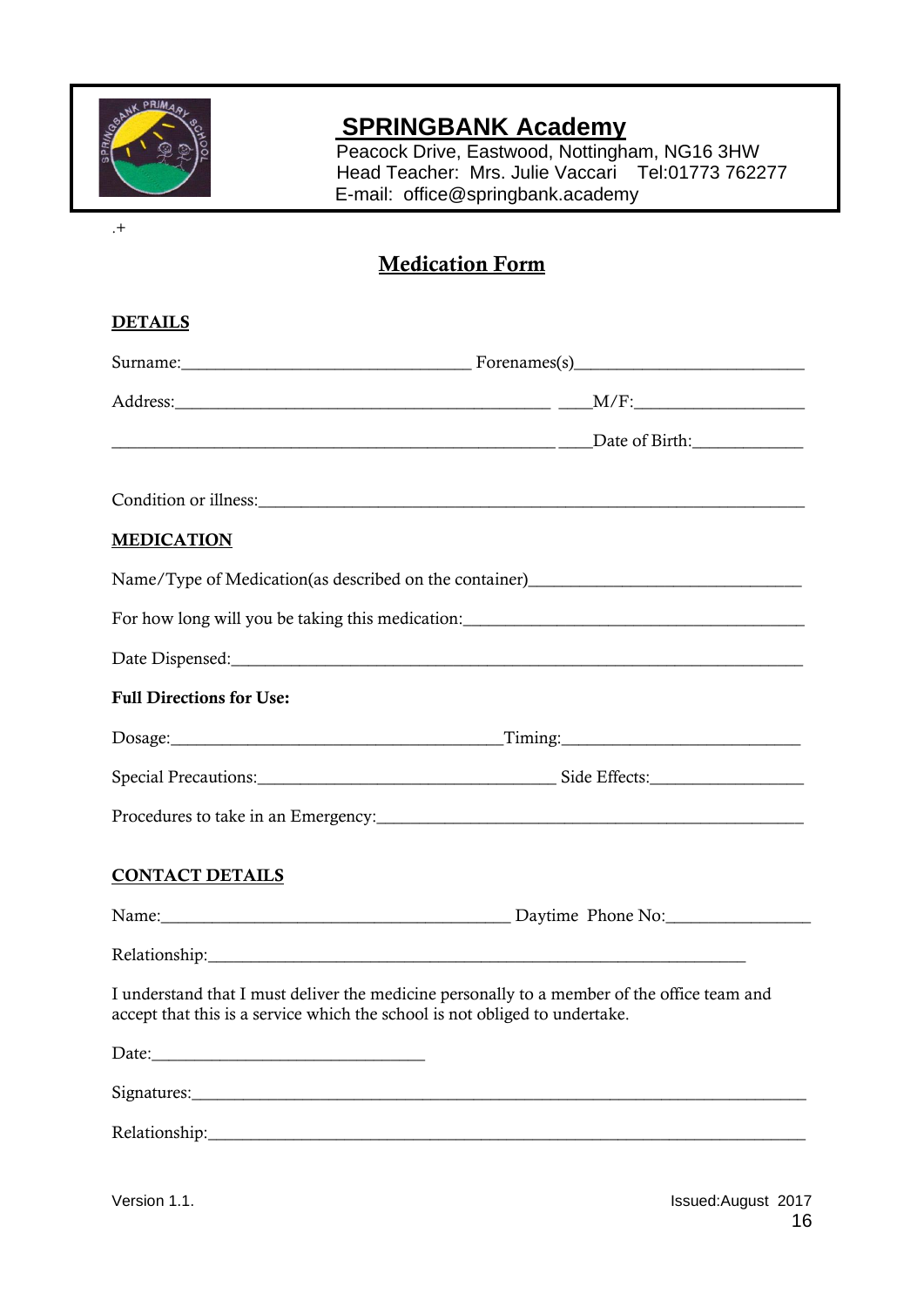

### **SPRINGBANK Academy**

 Peacock Drive, Eastwood, Nottingham, NG16 3HW Head Teacher: Mrs. Julie Vaccari Tel:01773 762277 E-mail: office@springbank.academy

.+

### Medication Form

| <b>DETAILS</b>                                                                                                                                                             |  |  |  |  |
|----------------------------------------------------------------------------------------------------------------------------------------------------------------------------|--|--|--|--|
|                                                                                                                                                                            |  |  |  |  |
|                                                                                                                                                                            |  |  |  |  |
| Date of Birth:                                                                                                                                                             |  |  |  |  |
|                                                                                                                                                                            |  |  |  |  |
| <b>MEDICATION</b>                                                                                                                                                          |  |  |  |  |
| Name/Type of Medication(as described on the container)___________________________                                                                                          |  |  |  |  |
| For how long will you be taking this medication: ________________________________                                                                                          |  |  |  |  |
|                                                                                                                                                                            |  |  |  |  |
| <b>Full Directions for Use:</b>                                                                                                                                            |  |  |  |  |
|                                                                                                                                                                            |  |  |  |  |
|                                                                                                                                                                            |  |  |  |  |
|                                                                                                                                                                            |  |  |  |  |
| <b>CONTACT DETAILS</b>                                                                                                                                                     |  |  |  |  |
|                                                                                                                                                                            |  |  |  |  |
|                                                                                                                                                                            |  |  |  |  |
| I understand that I must deliver the medicine personally to a member of the office team and<br>accept that this is a service which the school is not obliged to undertake. |  |  |  |  |
|                                                                                                                                                                            |  |  |  |  |
|                                                                                                                                                                            |  |  |  |  |
|                                                                                                                                                                            |  |  |  |  |